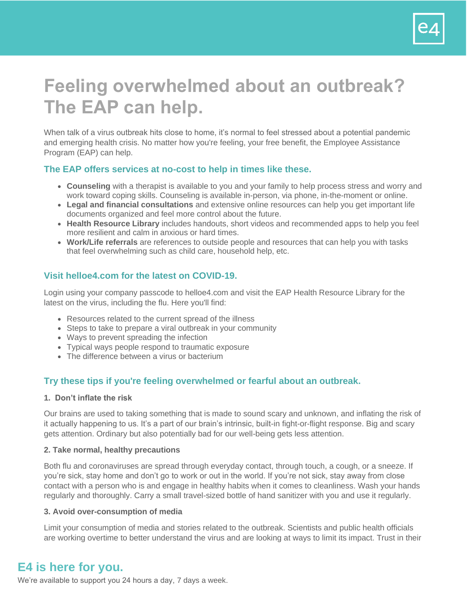

# **Feeling overwhelmed about an outbreak? The EAP can help.**

When talk of a virus outbreak hits close to home, it's normal to feel stressed about a potential pandemic and emerging health crisis. No matter how you're feeling, your free benefit, the Employee Assistance Program (EAP) can help.

## **The EAP offers services at no-cost to help in times like these.**

- **Counseling** with a therapist is available to you and your family to help process stress and worry and work toward coping skills. Counseling is available in-person, via phone, in-the-moment or online.
- **Legal and financial consultations** and extensive online resources can help you get important life documents organized and feel more control about the future.
- **Health Resource Library** includes handouts, short videos and recommended apps to help you feel more resilient and calm in anxious or hard times.
- **Work/Life referrals** are references to outside people and resources that can help you with tasks that feel overwhelming such as child care, household help, etc.

## **Visit helloe4.com for the latest on COVID-19.**

Login using your company passcode to helloe4.com and visit the EAP Health Resource Library for the latest on the virus, including the flu. Here you'll find:

- Resources related to the current spread of the illness
- Steps to take to prepare a viral outbreak in your community
- Ways to prevent spreading the infection
- Typical ways people respond to traumatic exposure
- The difference between a virus or bacterium

## **Try these tips if you're feeling overwhelmed or fearful about an outbreak.**

#### **1. Don't inflate the risk**

Our brains are used to taking something that is made to sound scary and unknown, and inflating the risk of it actually happening to us. It's a part of our brain's intrinsic, built-in fight-or-flight response. Big and scary gets attention. Ordinary but also potentially bad for our well-being gets less attention.

#### **2. Take normal, healthy precautions**

Both flu and coronaviruses are spread through everyday contact, through touch, a cough, or a sneeze. If you're sick, stay home and don't go to work or out in the world. If you're not sick, stay away from close contact with a person who is and engage in healthy habits when it comes to cleanliness. Wash your hands regularly and thoroughly. Carry a small travel-sized bottle of hand sanitizer with you and use it regularly.

#### **3. Avoid over-consumption of media**

Limit your consumption of media and stories related to the outbreak. Scientists and public health officials are working overtime to better understand the virus and are looking at ways to limit its impact. Trust in their

# **E4 is here for you.**

We're available to support you 24 hours a day, 7 days a week.